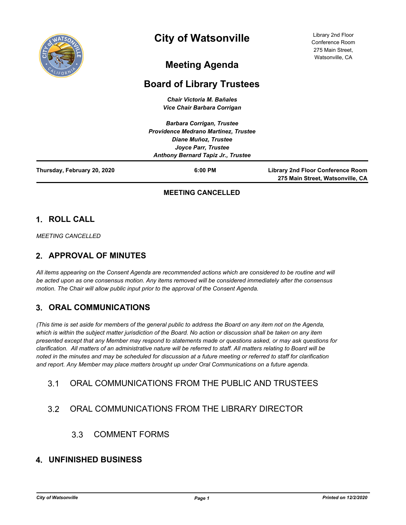

# **City of Watsonville**

Library 2nd Floor Conference Room 275 Main Street, Watsonville, CA

## **Meeting Agenda**

## **Board of Library Trustees**

*Chair Victoria M. Bañales Vice Chair Barbara Corrigan*

|                             | <b>Barbara Corrigan, Trustee</b>            |                                                                       |
|-----------------------------|---------------------------------------------|-----------------------------------------------------------------------|
|                             | <b>Providence Medrano Martinez, Trustee</b> |                                                                       |
|                             | Diane Muñoz, Trustee                        |                                                                       |
|                             | Joyce Parr, Trustee                         |                                                                       |
|                             | <b>Anthony Bernard Tapiz Jr., Trustee</b>   |                                                                       |
| Thursday, February 20, 2020 | 6:00 PM                                     | Library 2nd Floor Conference Room<br>275 Main Street, Watsonville, CA |

#### **MEETING CANCELLED**

### **1. ROLL CALL**

*MEETING CANCELLED*

### **2. APPROVAL OF MINUTES**

*All items appearing on the Consent Agenda are recommended actions which are considered to be routine and will be acted upon as one consensus motion. Any items removed will be considered immediately after the consensus motion. The Chair will allow public input prior to the approval of the Consent Agenda.*

### **3. ORAL COMMUNICATIONS**

*(This time is set aside for members of the general public to address the Board on any item not on the Agenda,*  which is within the subject matter jurisdiction of the Board. No action or discussion shall be taken on any item *presented except that any Member may respond to statements made or questions asked, or may ask questions for clarification. All matters of an administrative nature will be referred to staff. All matters relating to Board will be noted in the minutes and may be scheduled for discussion at a future meeting or referred to staff for clarification and report. Any Member may place matters brought up under Oral Communications on a future agenda.*

### 3.1 ORAL COMMUNICATIONS FROM THE PUBLIC AND TRUSTEES

### 3.2 ORAL COMMUNICATIONS FROM THE LIBRARY DIRECTOR

3.3 COMMENT FORMS

#### **4. UNFINISHED BUSINESS**